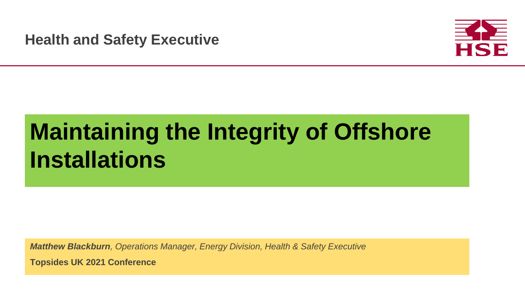Health and Safety **Health and Safety Executive**



# **Maintaining the Integrity of Offshore Installations**

*Matthew Blackburn, Operations Manager, Energy Division, Health & Safety Executive*

**Topsides UK 2021 Conference**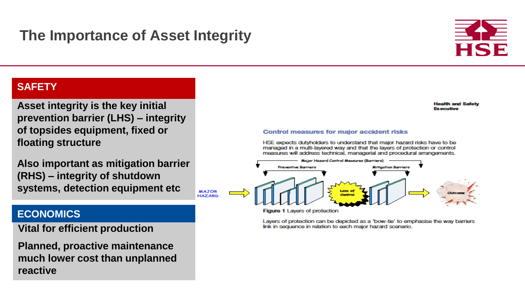## **The Importance of Asset Integrity**



### **SAFETY**

**Asset integrity is the key initial prevention barrier (LHS) – integrity of topsides equipment, fixed or floating structure**

**Also important as mitigation barrier (RHS) – integrity of shutdown systems, detection equipment etc**

**MAJOR HAZARD** 

### **ECONOMICS**

**Vital for efficient production**

**Planned, proactive maintenance much lower cost than unplanned reactive**

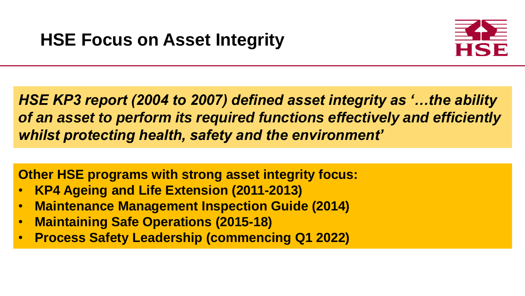

*HSE KP3 report (2004 to 2007) defined asset integrity as '…the ability of an asset to perform its required functions effectively and efficiently whilst protecting health, safety and the environment'*

**Other HSE programs with strong asset integrity focus:**

- **KP4 Ageing and Life Extension (2011-2013)**
- **Maintenance Management Inspection Guide (2014)**
- **Maintaining Safe Operations (2015-18)**
- **Process Safety Leadership (commencing Q1 2022)**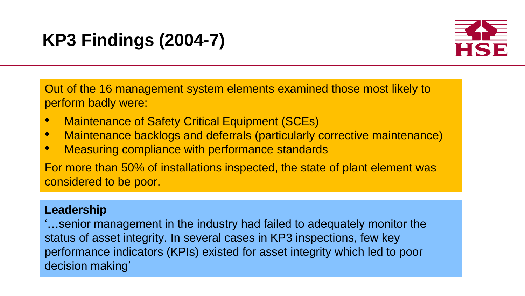## **KP3 Findings (2004-7)**



Out of the 16 management system elements examined those most likely to perform badly were:

- Maintenance of Safety Critical Equipment (SCEs)
- Maintenance backlogs and deferrals (particularly corrective maintenance)
- Measuring compliance with performance standards

For more than 50% of installations inspected, the state of plant element was considered to be poor.

### **Leadership**

'…senior management in the industry had failed to adequately monitor the status of asset integrity. In several cases in KP3 inspections, few key performance indicators (KPIs) existed for asset integrity which led to poor decision making'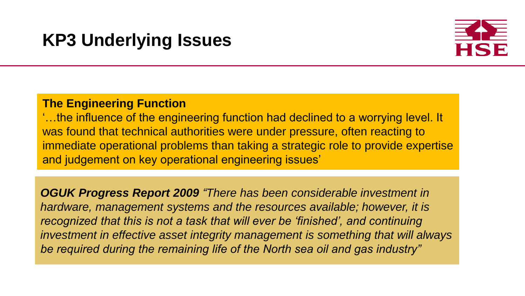## **KP3 Underlying Issues**



### **The Engineering Function**

'…the influence of the engineering function had declined to a worrying level. It was found that technical authorities were under pressure, often reacting to immediate operational problems than taking a strategic role to provide expertise and judgement on key operational engineering issues'

*OGUK Progress Report 2009 "There has been considerable investment in hardware, management systems and the resources available; however, it is recognized that this is not a task that will ever be 'finished', and continuing investment in effective asset integrity management is something that will always be required during the remaining life of the North sea oil and gas industry"*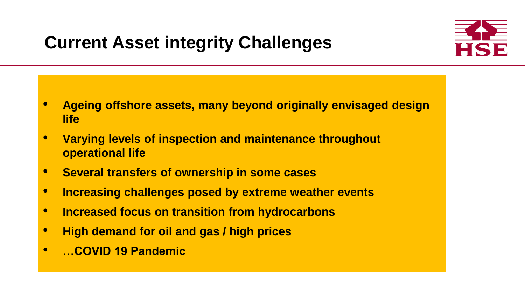## **Current Asset integrity Challenges**

- **Ageing offshore assets, many beyond originally envisaged design life**
- **Varying levels of inspection and maintenance throughout operational life**
- **Several transfers of ownership in some cases**
- **Increasing challenges posed by extreme weather events**
- **Increased focus on transition from hydrocarbons**
- **High demand for oil and gas / high prices**
- **…COVID 19 Pandemic**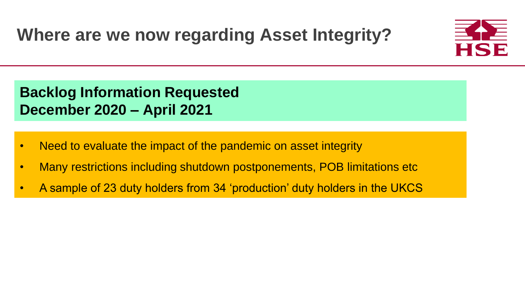**Backlog Information Requested December 2020 – April 2021**

- Need to evaluate the impact of the pandemic on asset integrity
- Many restrictions including shutdown postponements, POB limitations etc
- A sample of 23 duty holders from 34 'production' duty holders in the UKCS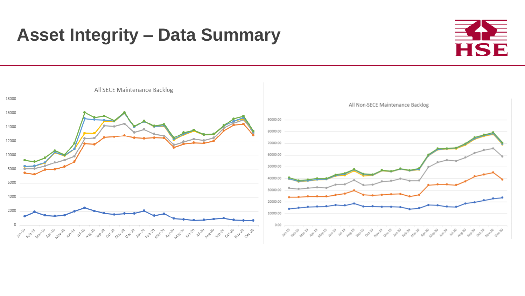## **Asset Integrity – Data Summary**



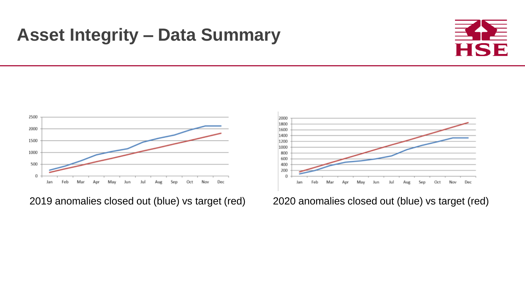## **Asset Integrity – Data Summary**





2019 anomalies closed out (blue) vs target (red) 2020 anomalies closed out (blue) vs target (red)

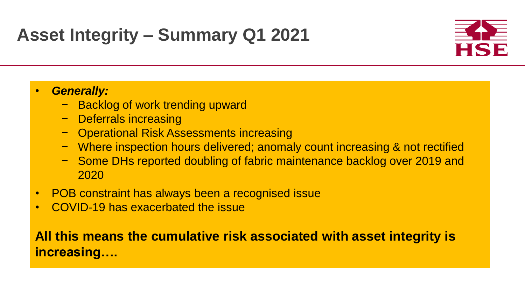## **Asset Integrity – Summary Q1 2021**

### • *Generally:*

- − Backlog of work trending upward
- − Deferrals increasing
- − Operational Risk Assessments increasing
- − Where inspection hours delivered; anomaly count increasing & not rectified
- − Some DHs reported doubling of fabric maintenance backlog over 2019 and 2020
- POB constraint has always been a recognised issue
- COVID-19 has exacerbated the issue

## **All this means the cumulative risk associated with asset integrity is increasing….**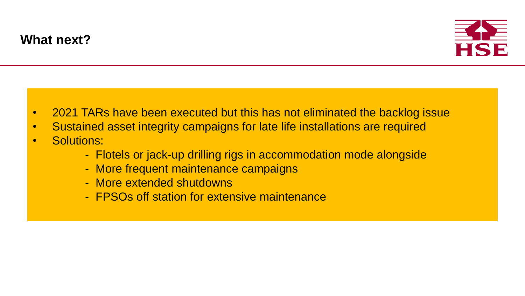

- 2021 TARs have been executed but this has not eliminated the backlog issue
- Sustained asset integrity campaigns for late life installations are required
- Solutions:
	- Flotels or jack-up drilling rigs in accommodation mode alongside
	- More frequent maintenance campaigns
	- More extended shutdowns
	- FPSOs off station for extensive maintenance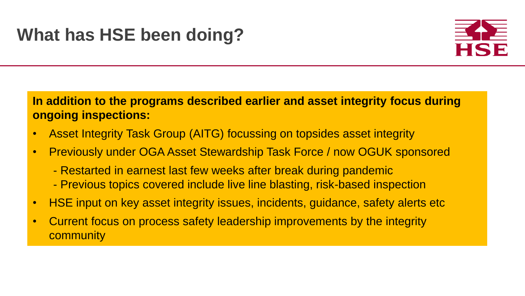## **In addition to the programs described earlier and asset integrity focus during ongoing inspections:**

- Asset Integrity Task Group (AITG) focussing on topsides asset integrity
- Previously under OGA Asset Stewardship Task Force / now OGUK sponsored
	- Restarted in earnest last few weeks after break during pandemic
	- Previous topics covered include live line blasting, risk-based inspection
- HSE input on key asset integrity issues, incidents, guidance, safety alerts etc
- Current focus on process safety leadership improvements by the integrity **community**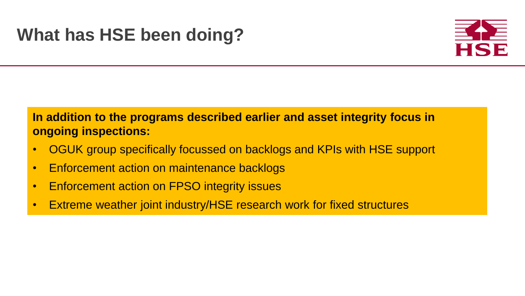

## **In addition to the programs described earlier and asset integrity focus in ongoing inspections:**

- OGUK group specifically focussed on backlogs and KPIs with HSE support
- Enforcement action on maintenance backlogs
- Enforcement action on FPSO integrity issues
- Extreme weather joint industry/HSE research work for fixed structures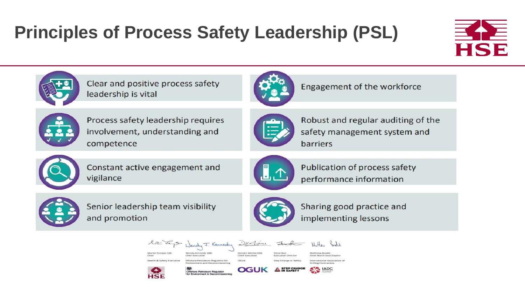## **Principles of Process Safety Leadership (PSL)**





Clear and positive process safety leadership is vital



Engagement of the workforce



Process safety leadership requires involvement, understanding and competence



Robust and regular auditing of the safety management system and barriers



Constant active engagement and vigilance



Publication of process safety performance information



Senior leadership team visibility and promotion



Sharing good practice and implementing lessons



Martin Temple CBE **Health & Safety Executive** 

Wendy Kennedy OBE Offshore Petroleum Regulator for DECLINE Deirdre Michie OBE hief Executive

Sunt Steve Rae **Executive Director** 

Matthew Brodie **Chair North Sea Chapte** International Association of **Drilling Contractors** SAS LADC

Nathas Sodie



**Environment and Decommissionin** Offshore Petroleum Regulator<br>for Environment & Decommissioning

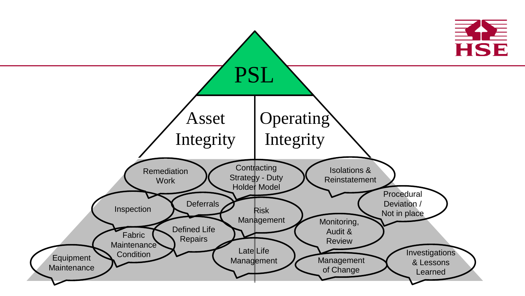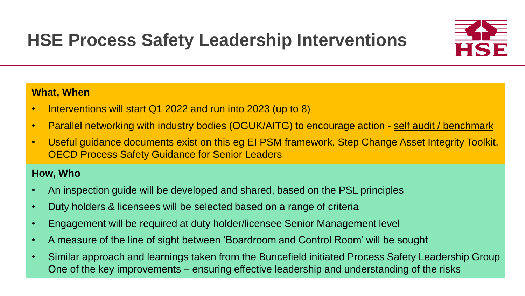

### **What, When**

- Interventions will start Q1 2022 and run into 2023 (up to 8)
- Parallel networking with industry bodies (OGUK/AITG) to encourage action self audit / benchmark
- Useful guidance documents exist on this eg EI PSM framework, Step Change Asset Integrity Toolkit, OECD Process Safety Guidance for Senior Leaders

### **How, Who**

- An inspection guide will be developed and shared, based on the PSL principles
- Duty holders & licensees will be selected based on a range of criteria
- Engagement will be required at duty holder/licensee Senior Management level
- A measure of the line of sight between 'Boardroom and Control Room' will be sought
- Similar approach and learnings taken from the Buncefield initiated Process Safety Leadership Group One of the key improvements – ensuring effective leadership and understanding of the risks